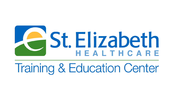

# **Training & Education Center**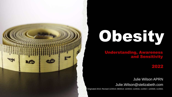

Understanding, Awareness and Sensitivity

2022

Julie Wilson APRN Julie.Wilson@stelizabeth.com

Originated 2010; Revised 12/2013; 09/2014; 12/2015; 11/2016, 11/2017, 12/2020, 11/2021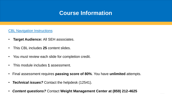### **Course Information**

**CBL Navigation Instructions** 

- **Target Audience:** All SEH associates.
- This CBL includes **25** content slides.
- You *must* review each slide for completion credit.
- This module includes **1** assessment.
- Final assessment requires **passing score of 80%**. You have **unlimited** attempts.
- *Technical issues?* Contact the helpdesk (12541).
- *Content questions?* Contact **Weight Management Center at (859) 212-4625**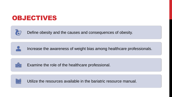# OBJECTIVES



Define obesity and the causes and consequences of obesity.



Increase the awareness of weight bias among healthcare professionals.



Examine the role of the healthcare professional.



Utilize the resources available in the bariatric resource manual.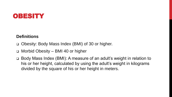### OBESITY

#### **Definitions**

- ❑ Obesity: Body Mass Index (BMI) of 30 or higher.
- ❑ Morbid Obesity BMI 40 or higher
- ❑ Body Mass Index (BMI): A measure of an adult's weight in relation to his or her height, calculated by using the adult's weight in kilograms divided by the square of his or her height in meters.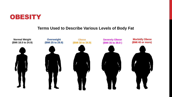

#### **Terms Used to Describe Various Levels of Body Fat**

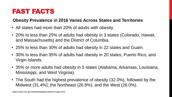### FAST FACTS

#### **Obesity Prevalence in 2016 Varies Across States and Territories**

- All states had more than 20% of adults with obesity.
- 20% to less than 25% of adults had obesity in 3 states (Colorado, Hawaii, and Massachusetts) and the District of Columbia.
- 25% to less than 30% of adults had obesity in 22 states and Guam.
- 30% to less than 35% of adults had obesity in 20 states, Puerto Rico, and Virgin Islands.
- 35% or more adults had obesity in 5 states (Alabama, Arkansas, Louisiana, Mississippi, and West Virginia).
- The South had the highest prevalence of obesity (32.0%), followed by the Midwest (31.4%), the Northeast (26.9%), and the West (26.0%).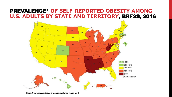### PREVALENCE\* **OF SELF-REPORTED OBESITY AMONG U.S. ADULTS BY STATE AND TERRITORY**, BRFSS, 2016

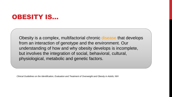### OBESITY IS…

Obesity is a complex, multifactorial chronic disease that develops from an interaction of genotype and the environment. Our understanding of how and why obesity develops is incomplete, but involves the integration of social, behavioral, cultural, physiological, metabolic and genetic factors.

*Clinical Guidelines on the Identification, Evaluation and Treatment of Overweight and Obesity in Adults; NIH*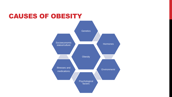### CAUSES OF OBESITY

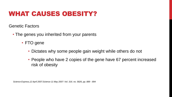Genetic Factors

- The genes you inherited from your parents
	- FTO gene
		- Dictates why some people gain weight while others do not
		- People who have 2 copies of the gene have 67 percent increased risk of obesity

*Science Express,12 April 2007;Science 11 May 2007: Vol. 316. no. 5826, pp. 889 - 894*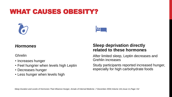



#### *Hormones*

**Ghrelin** 

- Increases hunger
- Feel hungrier when levels high Leptin
- Decreases hunger
- Less hunger when levels high

#### **Sleep deprivation directly related to these hormones**

After limited sleep, Leptin decreases and Grehlin increases

Study participants reported increased hunger, especially for high carbohydrate foods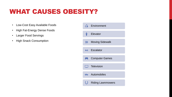- Low-Cost Easy Available Foods
- High Fat-Energy Dense Foods
- Larger Food Servings
- High Snack Consumption

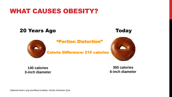### 20 Years Ago **Today**



#### "Portion Distortion"

Calorie Difference: 210 calories



#### **140 calories 3-inch diameter**

**350 calories 6-inch diameter**

*National Heart Lung and Blood Institute, Portion Distortion Quiz*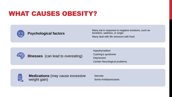

#### **Psychological factors**

Many eat in response to negative emotions, such as boredom, sadness ,or anger. Many deal with life stressors with food.



**Illnesses** (can lead to overeating)

Hypothyroidism Cushing's syndrome Depression Certain Neurological problems



**Medications** (may cause excessive weight gain)

**Steroids** Some Antidepressants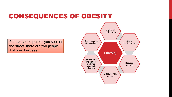### CONSEQUENCES OF OBESITY

For every one person you see on status/culture of socioeconomic the street, there are two people that you don't see…

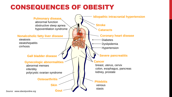### CONSEQUENCES OF OBESITY



*Source: www.obesityonline.org*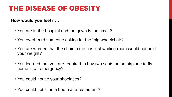### THE DISEASE OF OBESITY

#### **How would you feel if…**

- You are in the hospital and the gown is too small?
- You overheard someone asking for the "big wheelchair?
- You are worried that the chair in the hospital waiting room would not hold your weight?
- You learned that you are required to buy two seats on an airplane to fly home in an emergency?
- You could not tie your shoelaces?
- You could not sit in a booth at a restaurant?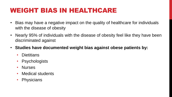# WEIGHT BIAS IN HEALTHCARE

- Bias may have a negative impact on the quality of healthcare for individuals with the disease of obesity
- Nearly 95% of individuals with the disease of obesity feel like they have been discriminated against
- **Studies have documented weight bias against obese patients by:**
	- Dietitians
	- Psychologists
	- Nurses
	- Medical students
	- Physicians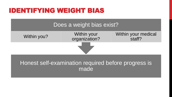### IDENTIFYING WEIGHT BIAS

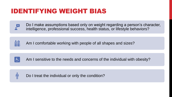## IDENTIFYING WEIGHT BIAS



Do I make assumptions based only on weight regarding a person's character, intelligence, professional success, health status, or lifestyle behaviors?



Am I comfortable working with people of all shapes and sizes?



Am I sensitive to the needs and concerns of the individual with obesity?



Do I treat the individual or only the condition?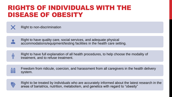### RIGHTS OF INDIVIDUALS WITH THE DISEASE OF OBESITY

Right to non-discrimination

Right to have quality care, social services, and adequate physical accommodations/equipment/testing facilities in the health care setting.

Right to have full explanation of all health procedures, to help choose the modality of treatment, and to refuse treatment.





Right to be treated by individuals who are accurately informed about the latest research in the areas of bariatrics, nutrition, metabolism, and genetics with regard to "obesity"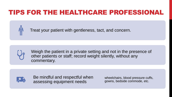## TIPS FOR THE HEALTHCARE PROFESSIONAL

Treat your patient with gentleness, tact, and concern.



Weigh the patient in a private setting and not in the presence of other patients or staff; record weight silently, without any commentary.



Be mindful and respectful when assessing equipment needs

wheelchairs, blood pressure cuffs, gowns, bedside commode, etc.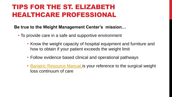# TIPS FOR THE ST. ELIZABETH HEALTHCARE PROFESSIONAL

- **Be true to the Weight Management Center's mission…**
	- To provide care in a safe and supportive environment
		- Know the weight capacity of hospital equipment and furniture and how to obtain if your patient exceeds the weight limit
		- Follow evidence based clinical and operational pathways
		- [Bariatric Resource Manual](https://stelizabethhealthcare.sharepoint.com/sites/Connection/SitePages/Department%20Sites/Bariatric%20Weight%20Management%20Center/Bariatric-Weight-Management-Center.aspx?csf=1&web=1&e=2zQ05b) is your reference to the surgical weight loss continuum of care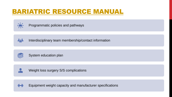### [BARIATRIC RESOURCE MANUAL](https://stelizabethhealthcare.sharepoint.com/sites/Connection/SitePages/Department%20Sites/Bariatric%20Weight%20Management%20Center/Bariatric-Weight-Management-Center.aspx?csf=1&web=1&e=2zQ05b)



Programmatic policies and pathways



Interdisciplinary team membership/contact information



System education plan



Weight loss surgery S/S complications

Equipment weight capacity and manufacturer specifications $\left\| \cdot \right\|$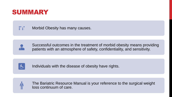<span id="page-25-0"></span>

Morbid Obesity has many causes.



Successful outcomes in the treatment of morbid obesity means providing patients with an atmosphere of safety, confidentiality, and sensitivity.



Individuals with the disease of obesity have rights.



The Bariatric Resource Manual is your reference to the surgical weight loss continuum of care.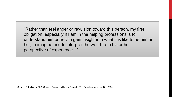"Rather than feel anger or revulsion toward this person, my first obligation, especially if I am in the helping professions is to understand him or her: to gain insight into what it is like to be him or her; to imagine and to interpret the world from his or her perspective of experience…"

Source: John Banja, PhD Obesity, Responsibility, and Empathy, The Case Manager, Nov/Dec 2004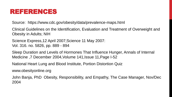### REFERENCES

Source: https://www.cdc.gov/obesity/data/prevalence-maps.html

Clinical Guidelines on the Identification, Evaluation and Treatment of Overweight and Obesity in Adults; NIH

Science Express,12 April 2007;Science 11 May 2007: Vol. 316. no. 5826, pp. 889 - 894

Sleep Duration and Levels of Hormones That Influence Hunger, Annals of Internal Medicine ,7 December 2004,Volume 141,Issue 11,Page I-52

National Heart Lung and Blood Institute, Portion Distortion Quiz

www.obesityonline.org

John Banja, PhD Obesity, Responsibility, and Empathy, The Case Manager, Nov/Dec 2004